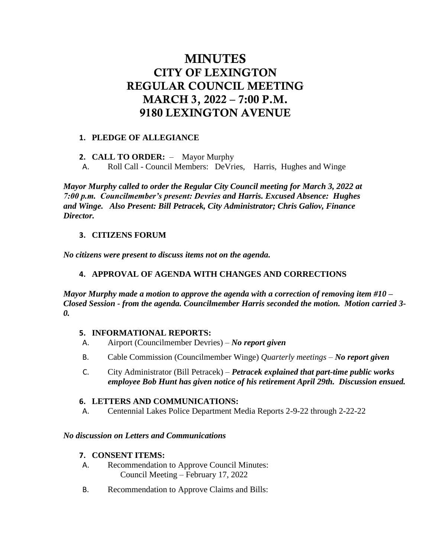# MINUTES CITY OF LEXINGTON REGULAR COUNCIL MEETING MARCH 3, 2022 – 7:00 P.M. 9180 LEXINGTON AVENUE

# **1. PLEDGE OF ALLEGIANCE**

**2. CALL TO ORDER:** – Mayor Murphy

A. Roll Call - Council Members: DeVries, Harris, Hughes and Winge

*Mayor Murphy called to order the Regular City Council meeting for March 3, 2022 at 7:00 p.m. Councilmember's present: Devries and Harris. Excused Absence: Hughes and Winge. Also Present: Bill Petracek, City Administrator; Chris Galiov, Finance Director.* 

## **3. CITIZENS FORUM**

*No citizens were present to discuss items not on the agenda.*

# **4. APPROVAL OF AGENDA WITH CHANGES AND CORRECTIONS**

*Mayor Murphy made a motion to approve the agenda with a correction of removing item #10 – Closed Session - from the agenda. Councilmember Harris seconded the motion. Motion carried 3- 0.*

## **5. INFORMATIONAL REPORTS:**

- A. Airport (Councilmember Devries) *No report given*
- B. Cable Commission (Councilmember Winge) *Quarterly meetings – No report given*
- C. City Administrator (Bill Petracek) *Petracek explained that part-time public works employee Bob Hunt has given notice of his retirement April 29th. Discussion ensued.*

# **6. LETTERS AND COMMUNICATIONS:**

A. Centennial Lakes Police Department Media Reports 2-9-22 through 2-22-22

## *No discussion on Letters and Communications*

## **7. CONSENT ITEMS:**

- A. Recommendation to Approve Council Minutes: Council Meeting – February 17, 2022
- B. Recommendation to Approve Claims and Bills: